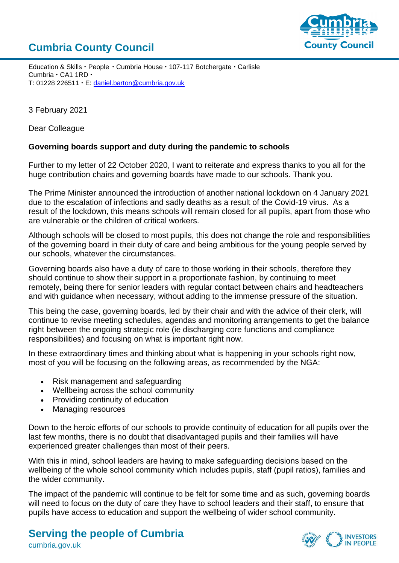## **Cumbria County Council**



Education & Skills · People · Cumbria House · 107-117 Botchergate · Carlisle  $C$ umbria  $\cdot$  CA1 1RD  $\cdot$ T: 01228 226511 · E: [daniel.barton@cumbria.gov.uk](mailto:daniel.barton@cumbria.gov.uk)

3 February 2021

Dear Colleague

## **Governing boards support and duty during the pandemic to schools**

Further to my letter of 22 October 2020, I want to reiterate and express thanks to you all for the huge contribution chairs and governing boards have made to our schools. Thank you.

The Prime Minister announced the introduction of another national lockdown on 4 January 2021 due to the escalation of infections and sadly deaths as a result of the Covid-19 virus. As a result of the lockdown, this means schools will remain closed for all pupils, apart from those who are vulnerable or the children of critical workers.

Although schools will be closed to most pupils, this does not change the role and responsibilities of the governing board in their duty of care and being ambitious for the young people served by our schools, whatever the circumstances.

Governing boards also have a duty of care to those working in their schools, therefore they should continue to show their support in a proportionate fashion, by continuing to meet remotely, being there for senior leaders with regular contact between chairs and headteachers and with guidance when necessary, without adding to the immense pressure of the situation.

This being the case, governing boards, led by their chair and with the advice of their clerk, will continue to revise meeting schedules, agendas and monitoring arrangements to get the balance right between the ongoing strategic role (ie discharging core functions and compliance responsibilities) and focusing on what is important right now.

In these extraordinary times and thinking about what is happening in your schools right now, most of you will be focusing on the following areas, as recommended by the NGA:

- Risk management and safeguarding
- Wellbeing across the school community
- Providing continuity of education
- Managing resources

Down to the heroic efforts of our schools to provide continuity of education for all pupils over the last few months, there is no doubt that disadvantaged pupils and their families will have experienced greater challenges than most of their peers.

With this in mind, school leaders are having to make safeguarding decisions based on the wellbeing of the whole school community which includes pupils, staff (pupil ratios), families and the wider community.

The impact of the pandemic will continue to be felt for some time and as such, governing boards will need to focus on the duty of care they have to school leaders and their staff, to ensure that pupils have access to education and support the wellbeing of wider school community.

## **Serving the people of Cumbria**

**INVESTORS** 

cumbria.gov.uk